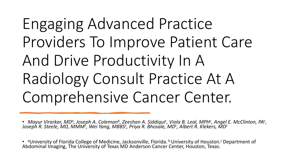## Engaging Advanced Practice Providers To Improve Patient Care And Drive Productivity In A Radiology Consult Practice At A Comprehensive Cancer Center.

• Mayur Virarkar, MDª, Joseph A. Coleman<sup>b</sup>, Zeeshan A. Siddiqui<sup>c</sup>, Viola B. Leal, MPH<sup>c</sup>, Angel E. McClinton, PA<sup>c</sup>,<br>Joseph R. Steele, MD, MMM<sup>c</sup>, Wei Yang, MBBS<sup>c</sup>, Priya R. Bhosale, MD<sup>c</sup>, Albert R. Klekers, MD<sup>c</sup>

• aUniversity of Florida College of Medicine, Jacksonville, Florida. b University of Houston.<sup>c</sup> Department of Abdominal Imaging, The University of Texas MD Anderson Cancer Center, Houston, Texas.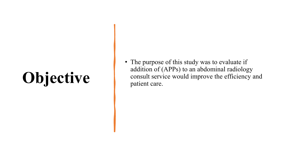# **Objective**

• The purpose of this study was to evaluate if addition of (APPs) to an abdominal radiology consult service would improve the efficiency and patient care.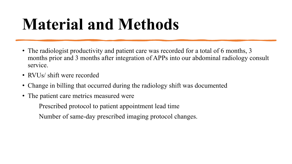## **Material and Methods**

- The radiologist productivity and patient care was recorded for a total of 6 months, 3 months prior and 3 months after integration of APPs into our abdominal radiology consult service.
- RVUs/ shift were recorded
- Change in billing that occurred during the radiology shift was documented
- The patient care metrics measured were

Prescribed protocol to patient appointment lead time Number of same-day prescribed imaging protocol changes.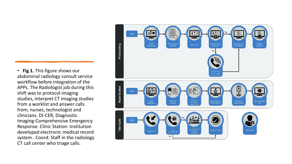• **Fig 1.** This figure shows our abdominal radiology consult service workflow before integration of the APPs. The Radiologist job during this shift was to protocol imaging studies, interpret CT imaging studies from a worklist and answer calls from, nurses, technologist and clinicians. DI-CER, Diagnostic Imaging-Comprehensive Emergency Response. Clinic Station: Institution developed electronic medical record system. Coord: Staff in the radiology CT call center who triage calls.

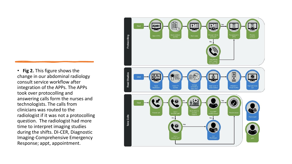• **Fig 2.** This figure shows the change in our abdominal radiology consult service workflow after integration of the APPs. The APPs took over protocolling and answering calls form the nurses and technologists. The calls from clinicians was routed to the radiologist if it was not a protocolling question. The radiologist had more time to interpret imaging studies during the shifts. DI-CER, Diagnostic Imaging-Comprehensive Emergency Response; appt, appointment.

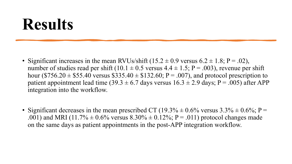#### **Results**

- Significant increases in the mean RVUs/shift  $(15.2 \pm 0.9 \text{ versus } 6.2 \pm 1.8; P = .02)$ , number of studies read per shift (10.1  $\pm$  0.5 versus 4.4  $\pm$  1.5; P = .003), revenue per shift hour (\$756.20  $\pm$  \$55.40 versus \$335.40  $\pm$  \$132.60; P = .007), and protocol prescription to patient appointment lead time (39.3  $\pm$  6.7 days versus 16.3  $\pm$  2.9 days; P = .005) after APP integration into the workflow.
- Significant decreases in the mean prescribed CT (19.3%  $\pm$  0.6% versus 3.3%  $\pm$  0.6%; P = .001) and MRI (11.7%  $\pm$  0.6% versus 8.30%  $\pm$  0.12%; P = .011) protocol changes made on the same days as patient appointments in the post-APP integration workflow.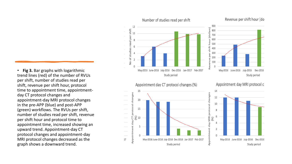• **Fig 3.** Bar graphs with logarithmic trend lines (red) of the number of RVUs per shift, number of studies read per shift, revenue per shift hour, protocol time to appointment time, appointmentday CT protocol changes and appointment-day MRI protocol changes in the pre-APP (blue) and post-APP (green) workflows. The RVUs per shift, number of studies read per shift, revenue per shift hour and protocol time to appointment time, increased showing an upward trend. Appointment-day CT protocol changes and appointment-day MRI protocol changes decreased as the graph shows a downward trend.

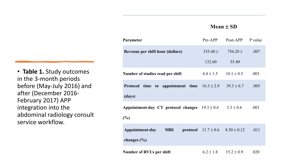#### **Mean** ± **SD**

| <b>Parameter</b>                                           | Pre-APP       | Post-APP                       | P value |
|------------------------------------------------------------|---------------|--------------------------------|---------|
| Revenue per shift hour (dollars)                           | 335.40 $\pm$  | $756.20 \pm$                   | .007    |
|                                                            | 132.60        | 55.40                          |         |
| Number of studies read per shift                           | $4.4 \pm 1.5$ | $10.1 \pm 0.5$                 | .003    |
| to appointment time $16.3 \pm 2.9$<br><b>Protocol</b> time |               | $39.3 \pm 6.7$                 | .005    |
| (days)                                                     |               |                                |         |
| Appointment-day CT protocol changes $19.3 \pm 0.6$         |               | $3.3 \pm 0.6$                  | .001    |
| (%)                                                        |               |                                |         |
| Appointment-day<br><b>MRI</b><br>protocol                  |               | $11.7 \pm 0.6$ $8.30 \pm 0.12$ | .011    |
| changes $(\% )$                                            |               |                                |         |
| <b>Number of RVUs per shift</b>                            | $6.2 \pm 1.8$ | $15.2 \pm 0.9$                 | .020    |

• **Table 1.** Study outcomes in the 3-month periods before (May-July 2016) and after (December 2016- February 2017) APP integration into the abdominal radiology consult service workflow.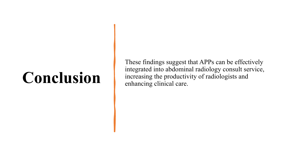### **Conclusion**

These findings suggest that APPs can be effectively integrated into abdominal radiology consult service, increasing the productivity of radiologists and enhancing clinical care.